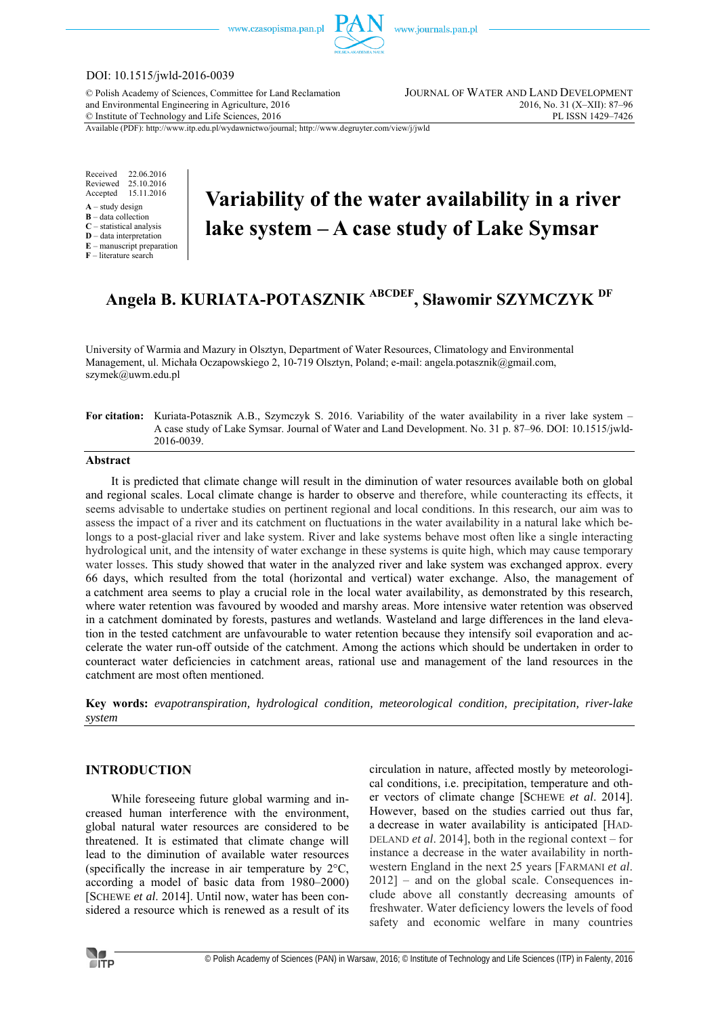

#### DOI: 10.1515/jwld-2016-0039

© Polish Academy of Sciences, Committee for Land Reclamation JOURNAL OF WATER AND LAND DEVELOPMENT and Environmental Engineering in Agriculture, 2016<br>
© Institute of Technology and Life Sciences, 2016<br>
2016, No. 31 (X–XII): 87–96<br>
PL ISSN 1429–7426  $©$  Institute of Technology and Life Sciences, 2016

Available (PDF): http://www.itp.edu.pl/wydawnictwo/journal; http://www.degruyter.com/view/j/jwld

Received 22.06.2016 Reviewed 25.10.2016 Accepted 15.11.2016

- **A** study design
- **B** data collection
- **C** statistical analysis **D** – data interpretation
- **E** manuscript preparation

**F** – literature search

# **Variability of the water availability in a river lake system – A case study of Lake Symsar**

# **Angela B. KURIATA-POTASZNIK ABCDEF, Sławomir SZYMCZYK DF**

University of Warmia and Mazury in Olsztyn, Department of Water Resources, Climatology and Environmental Management, ul. Michała Oczapowskiego 2, 10-719 Olsztyn, Poland; e-mail: angela.potasznik@gmail.com, szymek@uwm.edu.pl

#### For citation: Kuriata-Potasznik A.B., Szymczyk S. 2016. Variability of the water availability in a river lake system – A case study of Lake Symsar. Journal of Water and Land Development. No. 31 p. 87–96. DOI: 10.1515/jwld-2016-0039.

#### **Abstract**

It is predicted that climate change will result in the diminution of water resources available both on global and regional scales. Local climate change is harder to observe and therefore, while counteracting its effects, it seems advisable to undertake studies on pertinent regional and local conditions. In this research, our aim was to assess the impact of a river and its catchment on fluctuations in the water availability in a natural lake which belongs to a post-glacial river and lake system. River and lake systems behave most often like a single interacting hydrological unit, and the intensity of water exchange in these systems is quite high, which may cause temporary water losses. This study showed that water in the analyzed river and lake system was exchanged approx. every 66 days, which resulted from the total (horizontal and vertical) water exchange. Also, the management of a catchment area seems to play a crucial role in the local water availability, as demonstrated by this research, where water retention was favoured by wooded and marshy areas. More intensive water retention was observed in a catchment dominated by forests, pastures and wetlands. Wasteland and large differences in the land elevation in the tested catchment are unfavourable to water retention because they intensify soil evaporation and accelerate the water run-off outside of the catchment. Among the actions which should be undertaken in order to counteract water deficiencies in catchment areas, rational use and management of the land resources in the catchment are most often mentioned.

**Key words:** *evapotranspiration, hydrological condition, meteorological condition, precipitation, river-lake system* 

# **INTRODUCTION**

While foreseeing future global warming and increased human interference with the environment, global natural water resources are considered to be threatened. It is estimated that climate change will lead to the diminution of available water resources (specifically the increase in air temperature by 2°C, according a model of basic data from 1980–2000) [SCHEWE *et al*. 2014]. Until now, water has been considered a resource which is renewed as a result of its

circulation in nature, affected mostly by meteorological conditions, i.e. precipitation, temperature and other vectors of climate change [SCHEWE *et al*. 2014]. However, based on the studies carried out thus far, a decrease in water availability is anticipated [HAD-DELAND *et al*. 2014], both in the regional context – for instance a decrease in the water availability in northwestern England in the next 25 years [FARMANI *et al*. 2012] – and on the global scale. Consequences include above all constantly decreasing amounts of freshwater. Water deficiency lowers the levels of food safety and economic welfare in many countries

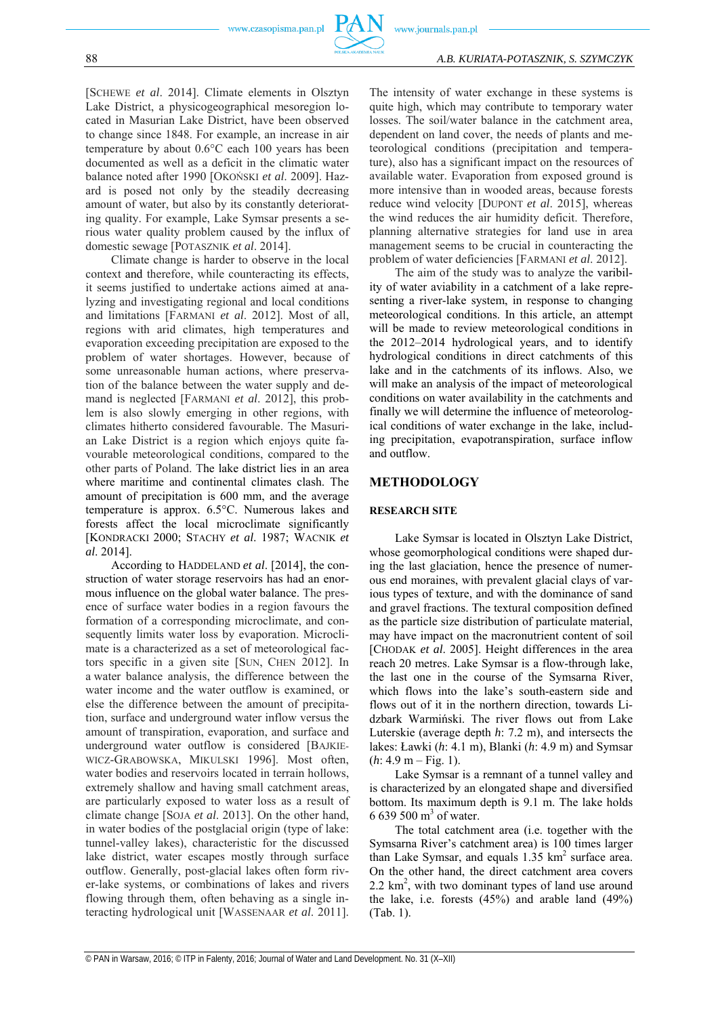## 88 *A.B. KURIATA-POTASZNIK, S. SZYMCZYK*

[SCHEWE *et al*. 2014]. Climate elements in Olsztyn Lake District, a physicogeographical mesoregion located in Masurian Lake District, have been observed to change since 1848. For example, an increase in air temperature by about  $0.6^{\circ}$ C each 100 years has been documented as well as a deficit in the climatic water balance noted after 1990 [OKOŃSKI *et al*. 2009]. Hazard is posed not only by the steadily decreasing amount of water, but also by its constantly deteriorating quality. For example, Lake Symsar presents a serious water quality problem caused by the influx of domestic sewage [POTASZNIK *et al*. 2014].

Climate change is harder to observe in the local context and therefore, while counteracting its effects, it seems justified to undertake actions aimed at analyzing and investigating regional and local conditions and limitations [FARMANI *et al*. 2012]. Most of all, regions with arid climates, high temperatures and evaporation exceeding precipitation are exposed to the problem of water shortages. However, because of some unreasonable human actions, where preservation of the balance between the water supply and demand is neglected [FARMANI *et al*. 2012], this problem is also slowly emerging in other regions, with climates hitherto considered favourable. The Masurian Lake District is a region which enjoys quite favourable meteorological conditions, compared to the other parts of Poland. The lake district lies in an area where maritime and continental climates clash. The amount of precipitation is 600 mm, and the average temperature is approx. 6.5°C. Numerous lakes and forests affect the local microclimate significantly [KONDRACKI 2000; STACHY *et al*. 1987; WACNIK *et al*. 2014].

According to HADDELAND *et al*. [2014], the construction of water storage reservoirs has had an enormous influence on the global water balance. The presence of surface water bodies in a region favours the formation of a corresponding microclimate, and consequently limits water loss by evaporation. Microclimate is a characterized as a set of meteorological factors specific in a given site [SUN, CHEN 2012]. In a water balance analysis, the difference between the water income and the water outflow is examined, or else the difference between the amount of precipitation, surface and underground water inflow versus the amount of transpiration, evaporation, and surface and underground water outflow is considered [BAJKIE-WICZ-GRABOWSKA, MIKULSKI 1996]. Most often, water bodies and reservoirs located in terrain hollows, extremely shallow and having small catchment areas, are particularly exposed to water loss as a result of climate change [SOJA *et al*. 2013]. On the other hand, in water bodies of the postglacial origin (type of lake: tunnel-valley lakes), characteristic for the discussed lake district, water escapes mostly through surface outflow. Generally, post-glacial lakes often form river-lake systems, or combinations of lakes and rivers flowing through them, often behaving as a single interacting hydrological unit [WASSENAAR *et al*. 2011].

The intensity of water exchange in these systems is quite high, which may contribute to temporary water losses. The soil/water balance in the catchment area, dependent on land cover, the needs of plants and meteorological conditions (precipitation and temperature), also has a significant impact on the resources of available water. Evaporation from exposed ground is more intensive than in wooded areas, because forests reduce wind velocity [DUPONT *et al*. 2015], whereas the wind reduces the air humidity deficit. Therefore, planning alternative strategies for land use in area management seems to be crucial in counteracting the problem of water deficiencies [FARMANI *et al*. 2012].

The aim of the study was to analyze the varibility of water aviability in a catchment of a lake representing a river-lake system, in response to changing meteorological conditions. In this article, an attempt will be made to review meteorological conditions in the 2012–2014 hydrological years, and to identify hydrological conditions in direct catchments of this lake and in the catchments of its inflows. Also, we will make an analysis of the impact of meteorological conditions on water availability in the catchments and finally we will determine the influence of meteorological conditions of water exchange in the lake, including precipitation, evapotranspiration, surface inflow and outflow.

# **METHODOLOGY**

#### **RESEARCH SITE**

Lake Symsar is located in Olsztyn Lake District, whose geomorphological conditions were shaped during the last glaciation, hence the presence of numerous end moraines, with prevalent glacial clays of various types of texture, and with the dominance of sand and gravel fractions. The textural composition defined as the particle size distribution of particulate material, may have impact on the macronutrient content of soil [CHODAK *et al*. 2005]. Height differences in the area reach 20 metres. Lake Symsar is a flow-through lake, the last one in the course of the Symsarna River, which flows into the lake's south-eastern side and flows out of it in the northern direction, towards Lidzbark Warmiński. The river flows out from Lake Luterskie (average depth *h*: 7.2 m), and intersects the lakes: Ławki (*h*: 4.1 m), Blanki (*h*: 4.9 m) and Symsar  $(h: 4.9 \text{ m} - \text{Fig. 1}).$ 

Lake Symsar is a remnant of a tunnel valley and is characterized by an elongated shape and diversified bottom. Its maximum depth is 9.1 m. The lake holds 6 639 500  $m^3$  of water.

The total catchment area (i.e. together with the Symsarna River's catchment area) is 100 times larger than Lake Symsar, and equals  $1.35 \text{ km}^2$  surface area. On the other hand, the direct catchment area covers  $2.2 \text{ km}^2$ , with two dominant types of land use around the lake, i.e. forests (45%) and arable land (49%) (Tab. 1).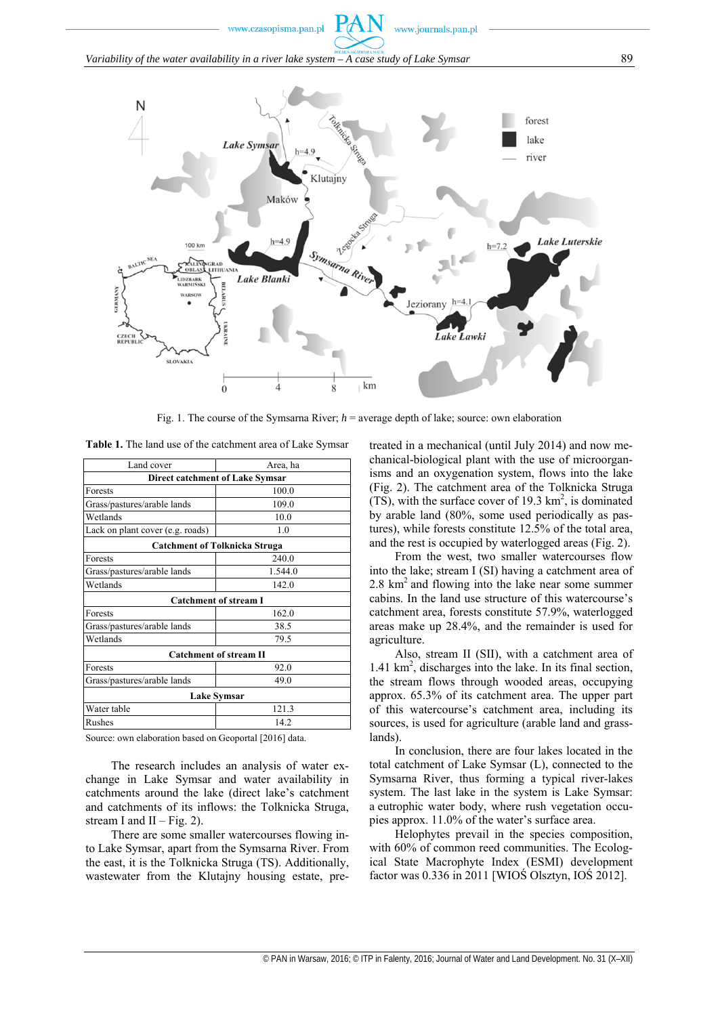www.czasopisma.pan.pl www.journals.pan.pl *Variability of the water availability in a river lake system – A case study of Lake Symsar* 89 N forest lake **Lake Symsar** river Klutajny Maków Lake Luterskie  $h=4$ nee  $h=7.2$ 100 kn Symsarna 心 Lake Blanki Jeziorany  $h<sub>i</sub>$ Lake Lawki SLOVAKIA km  $\theta$  $\overline{8}$ 

Fig. 1. The course of the Symsarna River; *h* = average depth of lake; source: own elaboration

|  |  |  |  |  |  |  |  | <b>Table 1.</b> The land use of the catchment area of Lake Symsar |  |
|--|--|--|--|--|--|--|--|-------------------------------------------------------------------|--|
|--|--|--|--|--|--|--|--|-------------------------------------------------------------------|--|

| Land cover                       | Area, ha                             |  |  |  |  |  |
|----------------------------------|--------------------------------------|--|--|--|--|--|
|                                  | Direct catchment of Lake Symsar      |  |  |  |  |  |
| Forests                          | 100.0                                |  |  |  |  |  |
| Grass/pastures/arable lands      | 109.0                                |  |  |  |  |  |
| Wetlands                         | 10.0                                 |  |  |  |  |  |
| Lack on plant cover (e.g. roads) | 1.0                                  |  |  |  |  |  |
|                                  | <b>Catchment of Tolknicka Struga</b> |  |  |  |  |  |
| Forests                          | 240.0                                |  |  |  |  |  |
| Grass/pastures/arable lands      | 1.544.0                              |  |  |  |  |  |
| Wetlands                         | 142.0                                |  |  |  |  |  |
|                                  | <b>Catchment of stream I</b>         |  |  |  |  |  |
| Forests                          | 162.0                                |  |  |  |  |  |
| Grass/pastures/arable lands      | 38.5                                 |  |  |  |  |  |
| Wetlands                         | 79.5                                 |  |  |  |  |  |
|                                  | <b>Catchment of stream II</b>        |  |  |  |  |  |
| Forests                          | 92.0                                 |  |  |  |  |  |
| Grass/pastures/arable lands      | 49.0                                 |  |  |  |  |  |
| <b>Lake Symsar</b>               |                                      |  |  |  |  |  |
| Water table                      | 121.3                                |  |  |  |  |  |
| Rushes                           | 14.2                                 |  |  |  |  |  |

Source: own elaboration based on Geoportal [2016] data.

The research includes an analysis of water exchange in Lake Symsar and water availability in catchments around the lake (direct lake's catchment and catchments of its inflows: the Tolknicka Struga, stream I and  $II - Fig. 2$ ).

There are some smaller watercourses flowing into Lake Symsar, apart from the Symsarna River. From the east, it is the Tolknicka Struga (TS). Additionally, wastewater from the Klutajny housing estate, pretreated in a mechanical (until July 2014) and now mechanical-biological plant with the use of microorganisms and an oxygenation system, flows into the lake (Fig. 2). The catchment area of the Tolknicka Struga  $(TS)$ , with the surface cover of 19.3 km<sup>2</sup>, is dominated by arable land (80%, some used periodically as pastures), while forests constitute 12.5% of the total area, and the rest is occupied by waterlogged areas (Fig. 2).

From the west, two smaller watercourses flow into the lake; stream I (SI) having a catchment area of  $2.8 \text{ km}^2$  and flowing into the lake near some summer cabins. In the land use structure of this watercourse's catchment area, forests constitute 57.9%, waterlogged areas make up 28.4%, and the remainder is used for agriculture.

Also, stream II (SII), with a catchment area of 1.41 km<sup>2</sup>, discharges into the lake. In its final section, the stream flows through wooded areas, occupying approx. 65.3% of its catchment area. The upper part of this watercourse's catchment area, including its sources, is used for agriculture (arable land and grasslands).

In conclusion, there are four lakes located in the total catchment of Lake Symsar (L), connected to the Symsarna River, thus forming a typical river-lakes system. The last lake in the system is Lake Symsar: a eutrophic water body, where rush vegetation occupies approx. 11.0% of the water's surface area.

Helophytes prevail in the species composition, with 60% of common reed communities. The Ecological State Macrophyte Index (ESMI) development factor was 0.336 in 2011 [WIOŚ Olsztyn, IOŚ 2012].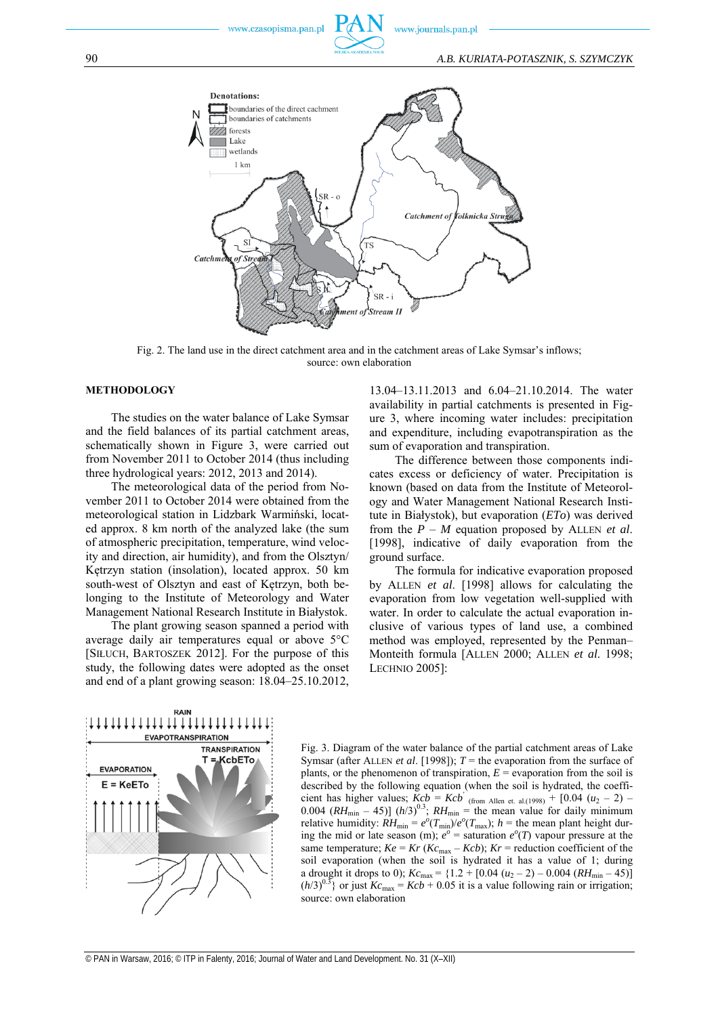



Fig. 2. The land use in the direct catchment area and in the catchment areas of Lake Symsar's inflows; source: own elaboration

# **METHODOLOGY**

The studies on the water balance of Lake Symsar and the field balances of its partial catchment areas, schematically shown in Figure 3, were carried out from November 2011 to October 2014 (thus including three hydrological years: 2012, 2013 and 2014).

The meteorological data of the period from November 2011 to October 2014 were obtained from the meteorological station in Lidzbark Warmiński, located approx. 8 km north of the analyzed lake (the sum of atmospheric precipitation, temperature, wind velocity and direction, air humidity), and from the Olsztyn/ Kętrzyn station (insolation), located approx. 50 km south-west of Olsztyn and east of Kętrzyn, both belonging to the Institute of Meteorology and Water Management National Research Institute in Białystok.

The plant growing season spanned a period with average daily air temperatures equal or above 5°C [SIŁUCH, BARTOSZEK 2012]. For the purpose of this study, the following dates were adopted as the onset and end of a plant growing season: 18.04–25.10.2012, 13.04–13.11.2013 and 6.04–21.10.2014. The water availability in partial catchments is presented in Figure 3, where incoming water includes: precipitation and expenditure, including evapotranspiration as the sum of evaporation and transpiration.

The difference between those components indicates excess or deficiency of water. Precipitation is known (based on data from the Institute of Meteorology and Water Management National Research Institute in Białystok), but evaporation (*ETo*) was derived from the *P* – *M* equation proposed by ALLEN *et al*. [1998], indicative of daily evaporation from the ground surface.

The formula for indicative evaporation proposed by ALLEN *et al*. [1998] allows for calculating the evaporation from low vegetation well-supplied with water. In order to calculate the actual evaporation inclusive of various types of land use, a combined method was employed, represented by the Penman– Monteith formula [ALLEN 2000; ALLEN *et al*. 1998; LECHNIO 2005]:



Fig. 3. Diagram of the water balance of the partial catchment areas of Lake Symsar (after ALLEN *et al*. [1998]); *T* = the evaporation from the surface of plants, or the phenomenon of transpiration,  $E =$  evaporation from the soil is described by the following equation (when the soil is hydrated, the coefficient has higher values;  $Kcb = Kcb'$  (from Allen et. al.(1998) + [0.04 ( $u_2 - 2$ ) – 0.004  $(RH_{\text{min}} - 45)$ ]  $(h/3)^{0.3}$ ;  $RH_{\text{min}}$  = the mean value for daily minimum relative humidity:  $RH_{\text{min}} = e^o(T_{\text{min}})/e^o(T_{\text{max}})$ ;  $h =$  the mean plant height during the mid or late season (m);  $e^{\circ}$  = saturation  $e^{\circ}(T)$  vapour pressure at the same temperature;  $Ke = Kr(Kc_{\text{max}} - Kcb)$ ;  $Kr =$  reduction coefficient of the soil evaporation (when the soil is hydrated it has a value of 1; during a drought it drops to 0);  $K_{\text{cmax}} = \{1.2 + [0.04 \ (u_2 - 2) - 0.004 \ (RH_{\text{min}} - 45)]\}$  $(h/3)^{0.3}$  or just  $Kc_{\text{max}} = Kcb + 0.05$  it is a value following rain or irrigation; source: own elaboration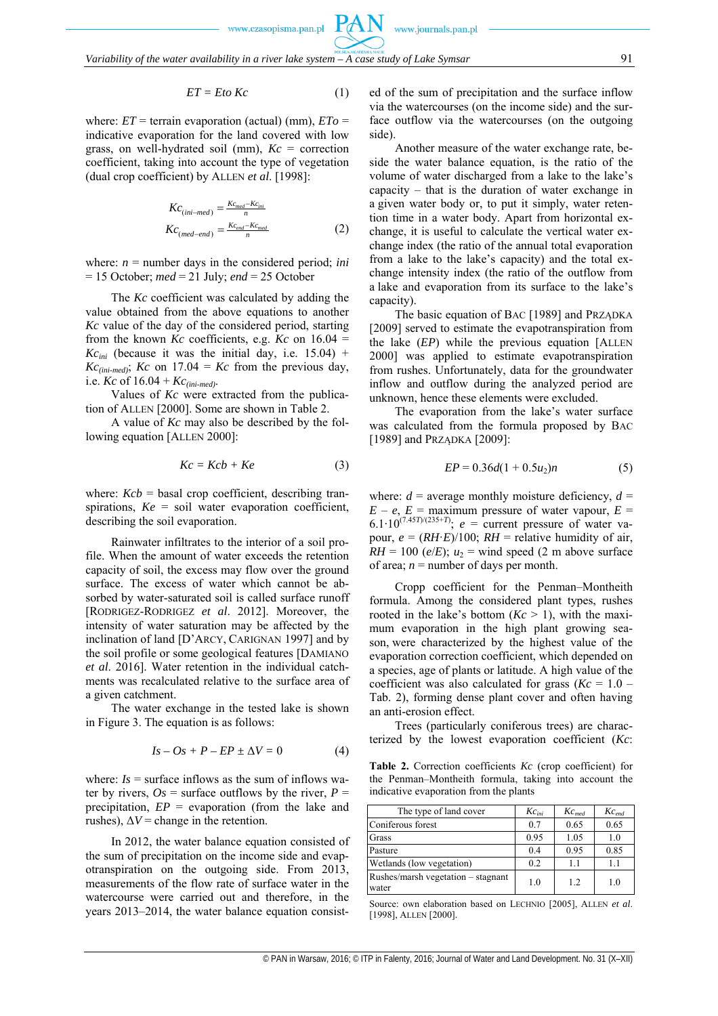*Variability of the water availability in a river lake system – A case study of Lake Symsar* 91

$$
ET = Eto Kc \tag{1}
$$

where:  $ET$  = terrain evaporation (actual) (mm),  $ETo$  = indicative evaporation for the land covered with low grass, on well-hydrated soil (mm), *Kc* = correction coefficient, taking into account the type of vegetation (dual crop coefficient) by ALLEN *et al*. [1998]:

$$
Kc_{(ini-med)} = \frac{Kc_{med} - Kc_{ini}}{n}
$$

$$
Kc_{(med-end)} = \frac{Kc_{end} - Kc_{med}}{n}
$$
 (2)

where:  $n =$  number days in the considered period; *ini* = 15 October; *med* = 21 July; *end* = 25 October

The *Kc* coefficient was calculated by adding the value obtained from the above equations to another *Kc* value of the day of the considered period, starting from the known *Kc* coefficients, e.g. *Kc* on  $16.04 =$  $Kc_{ini}$  (because it was the initial day, i.e. 15.04) +  $Kc_{(ini-med)}$ ;  $Kc$  on 17.04 =  $Kc$  from the previous day, i.e. *Kc* of  $16.04 + Kc_{(ini-med)}$ .

Values of *Kc* were extracted from the publication of ALLEN [2000]. Some are shown in Table 2.

A value of *Kc* may also be described by the following equation [ALLEN 2000]:

$$
Kc = Kcb + Ke \tag{3}
$$

where:  $Kcb$  = basal crop coefficient, describing transpirations,  $Ke = soil$  water evaporation coefficient, describing the soil evaporation.

Rainwater infiltrates to the interior of a soil profile. When the amount of water exceeds the retention capacity of soil, the excess may flow over the ground surface. The excess of water which cannot be absorbed by water-saturated soil is called surface runoff [RODRIGEZ-RODRIGEZ *et al*. 2012]. Moreover, the intensity of water saturation may be affected by the inclination of land [D'ARCY, CARIGNAN 1997] and by the soil profile or some geological features [DAMIANO *et al*. 2016]. Water retention in the individual catchments was recalculated relative to the surface area of a given catchment.

The water exchange in the tested lake is shown in Figure 3. The equation is as follows:

$$
Is - Os + P - EP \pm \Delta V = 0 \tag{4}
$$

where:  $Is = \text{surface inflows as the sum of inflows wa$ ter by rivers,  $Os =$  surface outflows by the river,  $P =$ precipitation, *EP* = evaporation (from the lake and rushes),  $\Delta V$  = change in the retention.

In 2012, the water balance equation consisted of the sum of precipitation on the income side and evapotranspiration on the outgoing side. From 2013, measurements of the flow rate of surface water in the watercourse were carried out and therefore, in the years 2013–2014, the water balance equation consisted of the sum of precipitation and the surface inflow via the watercourses (on the income side) and the surface outflow via the watercourses (on the outgoing side).

Another measure of the water exchange rate, beside the water balance equation, is the ratio of the volume of water discharged from a lake to the lake's capacity – that is the duration of water exchange in a given water body or, to put it simply, water retention time in a water body. Apart from horizontal exchange, it is useful to calculate the vertical water exchange index (the ratio of the annual total evaporation from a lake to the lake's capacity) and the total exchange intensity index (the ratio of the outflow from a lake and evaporation from its surface to the lake's capacity).

The basic equation of BAC [1989] and PRZADKA [2009] served to estimate the evapotranspiration from the lake (*EP*) while the previous equation [ALLEN 2000] was applied to estimate evapotranspiration from rushes. Unfortunately, data for the groundwater inflow and outflow during the analyzed period are unknown, hence these elements were excluded.

The evaporation from the lake's water surface was calculated from the formula proposed by BAC [1989] and PRZĄDKA [2009]:

$$
EP = 0.36d(1 + 0.5u_2)n
$$
 (5)

where:  $d =$  average monthly moisture deficiency,  $d =$  $E - e$ ,  $E =$  maximum pressure of water vapour,  $E =$  $6.1 \cdot 10^{(7.45T)/(235+T)}$ ;  $e =$  current pressure of water vapour,  $e = (RH \cdot E)/100$ ;  $RH =$  relative humidity of air, *RH* = 100 ( $e/E$ );  $u_2$  = wind speed (2 m above surface of area;  $n =$  number of days per month.

Cropp coefficient for the Penman–Montheith formula. Among the considered plant types, rushes rooted in the lake's bottom  $(Kc > 1)$ , with the maximum evaporation in the high plant growing season, were characterized by the highest value of the evaporation correction coefficient, which depended on a species, age of plants or latitude. A high value of the coefficient was also calculated for grass  $(Kc = 1.0 -$ Tab. 2), forming dense plant cover and often having an anti-erosion effect.

Trees (particularly coniferous trees) are characterized by the lowest evaporation coefficient (*Kc*:

**Table 2.** Correction coefficients *Kc* (crop coefficient) for the Penman–Montheith formula, taking into account the indicative evaporation from the plants

| The type of land cover                      | $Kc_{ini}$ | $Kc_{med}$ | $Kc_{end}$ |
|---------------------------------------------|------------|------------|------------|
| Coniferous forest                           | 0.7        | 0.65       | 0.65       |
| Grass                                       | 0.95       | 1.05       | 1.0        |
| Pasture                                     | 0.4        | 0.95       | 0.85       |
| Wetlands (low vegetation)                   | 0.2        | 1.1        | 1.1        |
| Rushes/marsh vegetation – stagnant<br>water | 1.0        | 1.2        | 1.0        |

Source: own elaboration based on LECHNIO [2005], ALLEN *et al*. [1998], ALLEN [2000].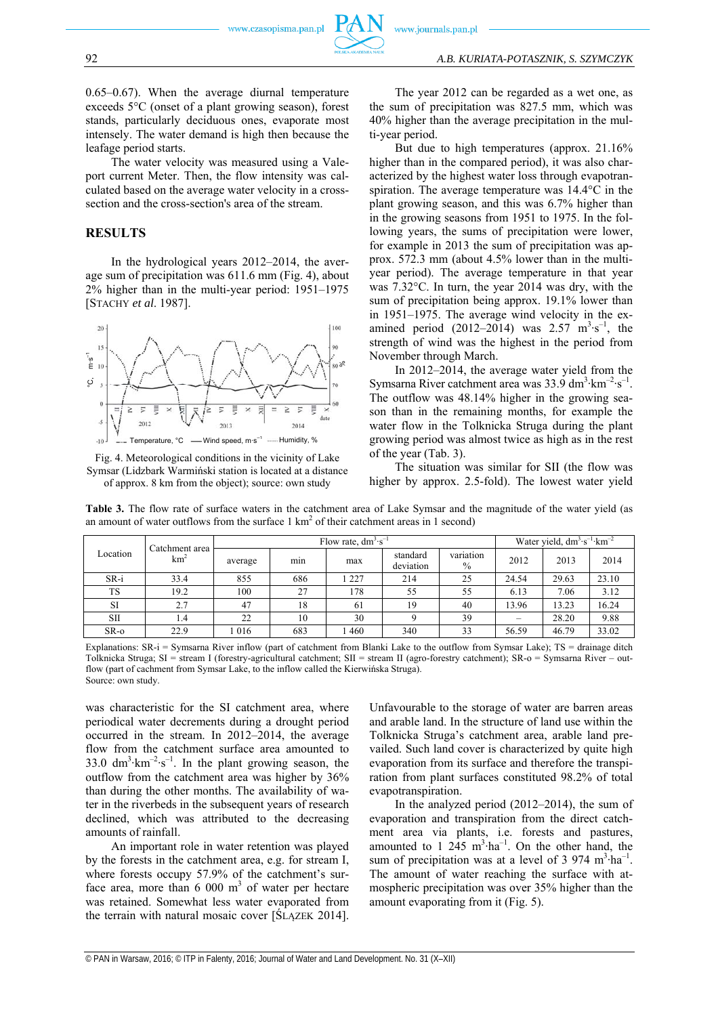0.65–0.67). When the average diurnal temperature exceeds 5°C (onset of a plant growing season), forest stands, particularly deciduous ones, evaporate most intensely. The water demand is high then because the leafage period starts.

The water velocity was measured using a Valeport current Meter. Then, the flow intensity was calculated based on the average water velocity in a crosssection and the cross-section's area of the stream.

# **RESULTS**

In the hydrological years 2012–2014, the average sum of precipitation was 611.6 mm (Fig. 4), about 2% higher than in the multi-year period: 1951–1975 [STACHY *et al*. 1987].



Fig. 4. Meteorological conditions in the vicinity of Lake Symsar (Lidzbark Warmiński station is located at a distance of approx. 8 km from the object); source: own study

The year 2012 can be regarded as a wet one, as the sum of precipitation was 827.5 mm, which was 40% higher than the average precipitation in the multi-year period.

But due to high temperatures (approx. 21.16% higher than in the compared period), it was also characterized by the highest water loss through evapotranspiration. The average temperature was 14.4°C in the plant growing season, and this was 6.7% higher than in the growing seasons from 1951 to 1975. In the following years, the sums of precipitation were lower, for example in 2013 the sum of precipitation was approx. 572.3 mm (about 4.5% lower than in the multiyear period). The average temperature in that year was 7.32°C. In turn, the year 2014 was dry, with the sum of precipitation being approx. 19.1% lower than in 1951–1975. The average wind velocity in the examined period  $(2012-2014)$  was  $2.57 \text{ m}^3 \cdot \text{s}^{-1}$ , the strength of wind was the highest in the period from November through March.

In 2012–2014, the average water yield from the Symsarna River catchment area was  $33.9 \text{ dm}^3 \cdot \text{km}^{-2} \cdot \text{s}^{-1}$ . The outflow was 48.14% higher in the growing season than in the remaining months, for example the water flow in the Tolknicka Struga during the plant growing period was almost twice as high as in the rest of the year (Tab. 3).

The situation was similar for SII (the flow was higher by approx. 2.5-fold). The lowest water yield

| Location | Catchment area<br>km <sup>2</sup> | Flow rate, $dm^3 \cdot s^{-1}$ |     |        |                       |                   | Water yield, $dm^3 \cdot s^{-1} \cdot km^{-2}$ |       |       |
|----------|-----------------------------------|--------------------------------|-----|--------|-----------------------|-------------------|------------------------------------------------|-------|-------|
|          |                                   | average                        | min | max    | standard<br>deviation | variation<br>$\%$ | 2012                                           | 2013  | 2014  |
| $SR - i$ | 33.4                              | 855                            | 686 | 1 227  | 214                   | 25                | 24.54                                          | 29.63 | 23.10 |
| TS       | 19.2                              | 100                            | 27  | 178    | 55                    | 55                | 6.13                                           | 7.06  | 3.12  |
| SI       | 2.7                               | 47                             | 18  | 61     | 19                    | 40                | 13.96                                          | 13.23 | 16.24 |
| SП       | 1.4                               | 22                             | 10  | 30     |                       | 39                |                                                | 28.20 | 9.88  |
| $SR-o$   | 22.9                              | 1 0 1 6                        | 683 | $-460$ | 340                   | 33                | 56.59                                          | 46.79 | 33.02 |

**Table 3.** The flow rate of surface waters in the catchment area of Lake Symsar and the magnitude of the water yield (as an amount of water outflows from the surface  $1 \text{ km}^2$  of their catchment areas in 1 second)

Explanations: SR-i = Symsarna River inflow (part of catchment from Blanki Lake to the outflow from Symsar Lake); TS = drainage ditch Tolknicka Struga; SI = stream I (forestry-agricultural catchment; SII = stream II (agro-forestry catchment); SR-o = Symsarna River – outflow (part of cachment from Symsar Lake, to the inflow called the Kierwińska Struga). Source: own study.

was characteristic for the SI catchment area, where periodical water decrements during a drought period occurred in the stream. In 2012–2014, the average flow from the catchment surface area amounted to 33.0  $\text{dm}^3 \cdot \text{km}^{-2} \cdot \text{s}^{-1}$ . In the plant growing season, the outflow from the catchment area was higher by 36% than during the other months. The availability of water in the riverbeds in the subsequent years of research declined, which was attributed to the decreasing amounts of rainfall.

An important role in water retention was played by the forests in the catchment area, e.g. for stream I, where forests occupy 57.9% of the catchment's surface area, more than  $6000 \text{ m}^3$  of water per hectare was retained. Somewhat less water evaporated from the terrain with natural mosaic cover [ŚLĄZEK 2014].

Unfavourable to the storage of water are barren areas and arable land. In the structure of land use within the Tolknicka Struga's catchment area, arable land prevailed. Such land cover is characterized by quite high evaporation from its surface and therefore the transpiration from plant surfaces constituted 98.2% of total evapotranspiration.

In the analyzed period (2012–2014), the sum of evaporation and transpiration from the direct catchment area via plants, i.e. forests and pastures, amounted to 1  $245 \text{ m}^3 \cdot \text{ha}^{-1}$ . On the other hand, the sum of precipitation was at a level of 3 974  $m^3 \cdot ha^{-1}$ . The amount of water reaching the surface with atmospheric precipitation was over 35% higher than the amount evaporating from it (Fig. 5).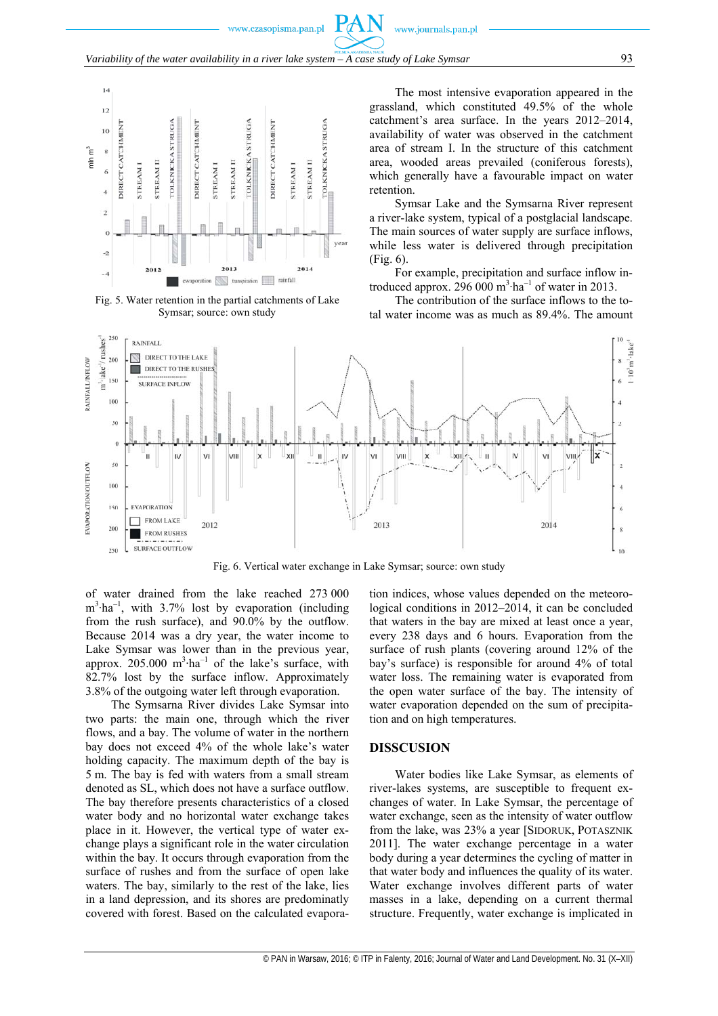

Fig. 5. Water retention in the partial catchments of Lake Symsar; source: own study

The most intensive evaporation appeared in the grassland, which constituted 49.5% of the whole catchment's area surface. In the years 2012–2014, availability of water was observed in the catchment area of stream I. In the structure of this catchment area, wooded areas prevailed (coniferous forests), which generally have a favourable impact on water retention.

Symsar Lake and the Symsarna River represent a river-lake system, typical of a postglacial landscape. The main sources of water supply are surface inflows, while less water is delivered through precipitation (Fig. 6).

For example, precipitation and surface inflow introduced approx. 296 000  $m^3$ ·ha<sup>-1</sup> of water in 2013.

The contribution of the surface inflows to the total water income was as much as 89.4%. The amount



Fig. 6. Vertical water exchange in Lake Symsar; source: own study

of water drained from the lake reached 273 000  $m^3$ ·ha<sup>-1</sup>, with 3.7% lost by evaporation (including from the rush surface), and 90.0% by the outflow. Because 2014 was a dry year, the water income to Lake Symsar was lower than in the previous year, approx. 205.000  $m^3$ ·ha<sup>-1</sup> of the lake's surface, with 82.7% lost by the surface inflow. Approximately 3.8% of the outgoing water left through evaporation.

The Symsarna River divides Lake Symsar into two parts: the main one, through which the river flows, and a bay. The volume of water in the northern bay does not exceed 4% of the whole lake's water holding capacity. The maximum depth of the bay is 5 m. The bay is fed with waters from a small stream denoted as SL, which does not have a surface outflow. The bay therefore presents characteristics of a closed water body and no horizontal water exchange takes place in it. However, the vertical type of water exchange plays a significant role in the water circulation within the bay. It occurs through evaporation from the surface of rushes and from the surface of open lake waters. The bay, similarly to the rest of the lake, lies in a land depression, and its shores are predominatly covered with forest. Based on the calculated evaporation indices, whose values depended on the meteorological conditions in 2012–2014, it can be concluded that waters in the bay are mixed at least once a year, every 238 days and 6 hours. Evaporation from the surface of rush plants (covering around 12% of the bay's surface) is responsible for around 4% of total water loss. The remaining water is evaporated from the open water surface of the bay. The intensity of water evaporation depended on the sum of precipitation and on high temperatures.

#### **DISSCUSION**

Water bodies like Lake Symsar, as elements of river-lakes systems, are susceptible to frequent exchanges of water. In Lake Symsar, the percentage of water exchange, seen as the intensity of water outflow from the lake, was 23% a year [SIDORUK, POTASZNIK 2011]. The water exchange percentage in a water body during a year determines the cycling of matter in that water body and influences the quality of its water. Water exchange involves different parts of water masses in a lake, depending on a current thermal structure. Frequently, water exchange is implicated in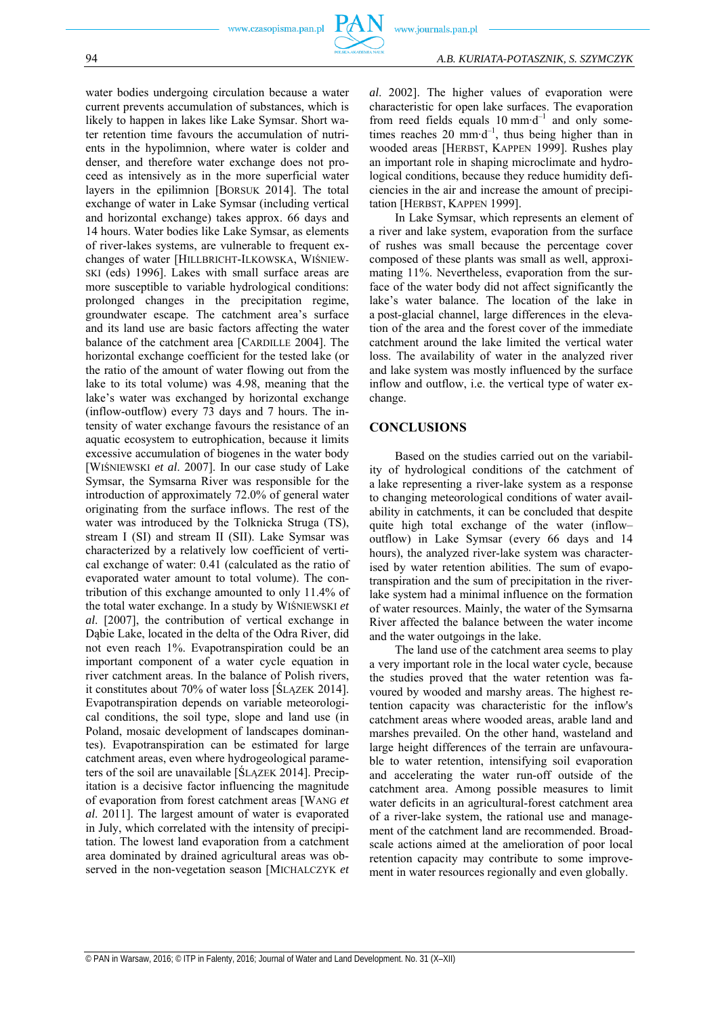water bodies undergoing circulation because a water current prevents accumulation of substances, which is likely to happen in lakes like Lake Symsar. Short water retention time favours the accumulation of nutrients in the hypolimnion, where water is colder and denser, and therefore water exchange does not proceed as intensively as in the more superficial water layers in the epilimnion [BORSUK 2014]. The total exchange of water in Lake Symsar (including vertical and horizontal exchange) takes approx. 66 days and 14 hours. Water bodies like Lake Symsar, as elements of river-lakes systems, are vulnerable to frequent exchanges of water [HILLBRICHT-ILKOWSKA, WIŚNIEW-SKI (eds) 1996]. Lakes with small surface areas are more susceptible to variable hydrological conditions: prolonged changes in the precipitation regime, groundwater escape. The catchment area's surface and its land use are basic factors affecting the water balance of the catchment area [CARDILLE 2004]. The horizontal exchange coefficient for the tested lake (or the ratio of the amount of water flowing out from the lake to its total volume) was 4.98, meaning that the lake's water was exchanged by horizontal exchange (inflow-outflow) every 73 days and 7 hours. The intensity of water exchange favours the resistance of an aquatic ecosystem to eutrophication, because it limits excessive accumulation of biogenes in the water body [WIŚNIEWSKI *et al*. 2007]. In our case study of Lake Symsar, the Symsarna River was responsible for the introduction of approximately 72.0% of general water originating from the surface inflows. The rest of the water was introduced by the Tolknicka Struga (TS), stream I (SI) and stream II (SII). Lake Symsar was characterized by a relatively low coefficient of vertical exchange of water: 0.41 (calculated as the ratio of evaporated water amount to total volume). The contribution of this exchange amounted to only 11.4% of the total water exchange. In a study by WIŚNIEWSKI *et al*. [2007], the contribution of vertical exchange in Dąbie Lake, located in the delta of the Odra River, did not even reach 1%. Evapotranspiration could be an important component of a water cycle equation in river catchment areas. In the balance of Polish rivers, it constitutes about 70% of water loss [ŚLĄZEK 2014]. Evapotranspiration depends on variable meteorological conditions, the soil type, slope and land use (in Poland, mosaic development of landscapes dominantes). Evapotranspiration can be estimated for large catchment areas, even where hydrogeological parameters of the soil are unavailable [ŚLĄZEK 2014]. Precipitation is a decisive factor influencing the magnitude of evaporation from forest catchment areas [WANG *et al*. 2011]. The largest amount of water is evaporated in July, which correlated with the intensity of precipitation. The lowest land evaporation from a catchment area dominated by drained agricultural areas was observed in the non-vegetation season [MICHALCZYK *et*  *al*. 2002]. The higher values of evaporation were characteristic for open lake surfaces. The evaporation from reed fields equals  $10 \text{ mm} \cdot d^{-1}$  and only sometimes reaches 20 mm∙d–1, thus being higher than in wooded areas [HERBST, KAPPEN 1999]. Rushes play an important role in shaping microclimate and hydrological conditions, because they reduce humidity deficiencies in the air and increase the amount of precipitation [HERBST, KAPPEN 1999].

In Lake Symsar, which represents an element of a river and lake system, evaporation from the surface of rushes was small because the percentage cover composed of these plants was small as well, approximating 11%. Nevertheless, evaporation from the surface of the water body did not affect significantly the lake's water balance. The location of the lake in a post-glacial channel, large differences in the elevation of the area and the forest cover of the immediate catchment around the lake limited the vertical water loss. The availability of water in the analyzed river and lake system was mostly influenced by the surface inflow and outflow, i.e. the vertical type of water exchange.

# **CONCLUSIONS**

Based on the studies carried out on the variability of hydrological conditions of the catchment of a lake representing a river-lake system as a response to changing meteorological conditions of water availability in catchments, it can be concluded that despite quite high total exchange of the water (inflow– outflow) in Lake Symsar (every 66 days and 14 hours), the analyzed river-lake system was characterised by water retention abilities. The sum of evapotranspiration and the sum of precipitation in the riverlake system had a minimal influence on the formation of water resources. Mainly, the water of the Symsarna River affected the balance between the water income and the water outgoings in the lake.

The land use of the catchment area seems to play a very important role in the local water cycle, because the studies proved that the water retention was favoured by wooded and marshy areas. The highest retention capacity was characteristic for the inflow's catchment areas where wooded areas, arable land and marshes prevailed. On the other hand, wasteland and large height differences of the terrain are unfavourable to water retention, intensifying soil evaporation and accelerating the water run-off outside of the catchment area. Among possible measures to limit water deficits in an agricultural-forest catchment area of a river-lake system, the rational use and management of the catchment land are recommended. Broadscale actions aimed at the amelioration of poor local retention capacity may contribute to some improvement in water resources regionally and even globally.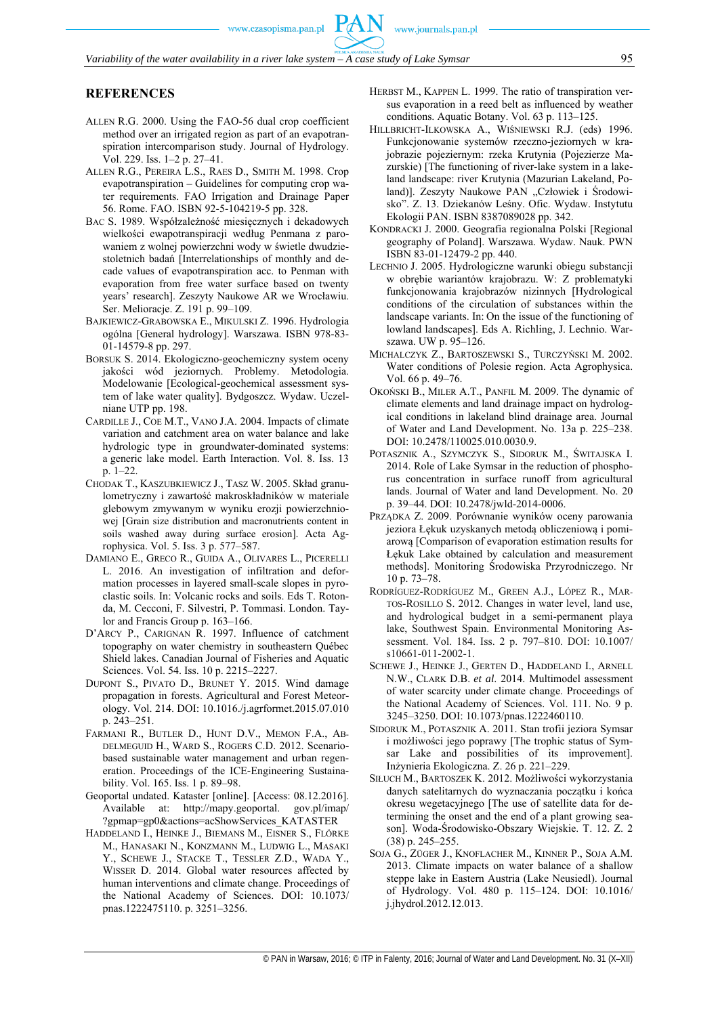#### **REFERENCES**

- ALLEN R.G. 2000. Using the FAO-56 dual crop coefficient method over an irrigated region as part of an evapotranspiration intercomparison study. Journal of Hydrology. Vol. 229. Iss. 1–2 p. 27–41.
- ALLEN R.G., PEREIRA L.S., RAES D., SMITH M. 1998. Crop evapotranspiration – Guidelines for computing crop water requirements. FAO Irrigation and Drainage Paper 56. Rome. FAO. ISBN 92-5-104219-5 pp. 328.
- BAC S. 1989. Współzależność miesięcznych i dekadowych wielkości ewapotranspiracji według Penmana z parowaniem z wolnej powierzchni wody w świetle dwudziestoletnich badań [Interrelationships of monthly and decade values of evapotranspiration acc. to Penman with evaporation from free water surface based on twenty years' research]. Zeszyty Naukowe AR we Wrocławiu. Ser. Melioracje. Z. 191 p. 99–109.
- BAJKIEWICZ-GRABOWSKA E., MIKULSKI Z. 1996. Hydrologia ogólna [General hydrology]. Warszawa. ISBN 978-83- 01-14579-8 pp. 297.
- BORSUK S. 2014. Ekologiczno-geochemiczny system oceny jakości wód jeziornych. Problemy. Metodologia. Modelowanie [Ecological-geochemical assessment system of lake water quality]. Bydgoszcz. Wydaw. Uczelniane UTP pp. 198.
- CARDILLE J., COE M.T., VANO J.A. 2004. Impacts of climate variation and catchment area on water balance and lake hydrologic type in groundwater-dominated systems: a generic lake model. Earth Interaction. Vol. 8. Iss. 13 p. 1–22.
- CHODAK T., KASZUBKIEWICZ J., TASZ W. 2005. Skład granulometryczny i zawartość makroskładników w materiale glebowym zmywanym w wyniku erozji powierzchniowej [Grain size distribution and macronutrients content in soils washed away during surface erosion]. Acta Agrophysica. Vol. 5. Iss. 3 p. 577–587.
- DAMIANO E., GRECO R., GUIDA A., OLIVARES L., PICERELLI L. 2016. An investigation of infiltration and deformation processes in layered small-scale slopes in pyroclastic soils. In: Volcanic rocks and soils. Eds T. Rotonda, M. Cecconi, F. Silvestri, P. Tommasi. London. Taylor and Francis Group p. 163–166.
- D'ARCY P., CARIGNAN R. 1997. Influence of catchment topography on water chemistry in southeastern Québec Shield lakes. Canadian Journal of Fisheries and Aquatic Sciences. Vol. 54. Iss. 10 p. 2215–2227.
- DUPONT S., PIVATO D., BRUNET Y. 2015. Wind damage propagation in forests. Agricultural and Forest Meteorology. Vol. 214. DOI: 10.1016./j.agrformet.2015.07.010 p. 243–251.
- FARMANI R., BUTLER D., HUNT D.V., MEMON F.A., AB-DELMEGUID H., WARD S., ROGERS C.D. 2012. Scenariobased sustainable water management and urban regeneration. Proceedings of the ICE-Engineering Sustainability. Vol. 165. Iss. 1 p. 89–98.
- Geoportal undated. Kataster [online]. [Access: 08.12.2016]. Available at: http://mapy.geoportal. gov.pl/imap/ ?gpmap=gp0&actions=acShowServices\_KATASTER
- HADDELAND I., HEINKE J., BIEMANS M., EISNER S., FLÖRKE M., HANASAKI N., KONZMANN M., LUDWIG L., MASAKI Y., SCHEWE J., STACKE T., TESSLER Z.D., WADA Y., WISSER D. 2014. Global water resources affected by human interventions and climate change. Proceedings of the National Academy of Sciences. DOI: 10.1073/ pnas.1222475110. p. 3251–3256.
- HERBST M., KAPPEN L. 1999. The ratio of transpiration versus evaporation in a reed belt as influenced by weather conditions. Aquatic Botany. Vol. 63 p. 113–125.
- HILLBRICHT-ILKOWSKA A., WIŚNIEWSKI R.J. (eds) 1996. Funkcjonowanie systemów rzeczno-jeziornych w krajobrazie pojeziernym: rzeka Krutynia (Pojezierze Mazurskie) [The functioning of river-lake system in a lakeland landscape: river Krutynia (Mazurian Lakeland, Poland)]. Zeszyty Naukowe PAN "Człowiek i Środowisko". Z. 13. Dziekanów Leśny. Ofic. Wydaw. Instytutu Ekologii PAN. ISBN 8387089028 pp. 342.
- KONDRACKI J. 2000. Geografia regionalna Polski [Regional geography of Poland]. Warszawa. Wydaw. Nauk. PWN ISBN 83-01-12479-2 pp. 440.
- LECHNIO J. 2005. Hydrologiczne warunki obiegu substancji w obrębie wariantów krajobrazu. W: Z problematyki funkcjonowania krajobrazów nizinnych [Hydrological conditions of the circulation of substances within the landscape variants. In: On the issue of the functioning of lowland landscapes]. Eds A. Richling, J. Lechnio. Warszawa. UW p. 95–126.
- MICHALCZYK Z., BARTOSZEWSKI S., TURCZYŃSKI M. 2002. Water conditions of Polesie region. Acta Agrophysica. Vol. 66 p. 49–76.
- OKOŃSKI B., MILER A.T., PANFIL M. 2009. The dynamic of climate elements and land drainage impact on hydrological conditions in lakeland blind drainage area. Journal of Water and Land Development. No. 13a p. 225–238. DOI: 10.2478/110025.010.0030.9.
- POTASZNIK A., SZYMCZYK S., SIDORUK M., ŚWITAJSKA I. 2014. Role of Lake Symsar in the reduction of phosphorus concentration in surface runoff from agricultural lands. Journal of Water and land Development. No. 20 p. 39–44. DOI: 10.2478/jwld-2014-0006.
- PRZĄDKA Z. 2009. Porównanie wyników oceny parowania jeziora Łękuk uzyskanych metodą obliczeniową i pomiarową [Comparison of evaporation estimation results for Łękuk Lake obtained by calculation and measurement methods]. Monitoring Środowiska Przyrodniczego. Nr 10 p. 73–78.
- RODRÍGUEZ-RODRÍGUEZ M., GREEN A.J., LÓPEZ R., MAR-TOS-ROSILLO S. 2012. Changes in water level, land use, and hydrological budget in a semi-permanent playa lake, Southwest Spain. Environmental Monitoring Assessment. Vol. 184. Iss. 2 p. 797–810. DOI: 10.1007/ s10661-011-2002-1.
- SCHEWE J., HEINKE J., GERTEN D., HADDELAND I., ARNELL N.W., CLARK D.B. *et al*. 2014. Multimodel assessment of water scarcity under climate change. Proceedings of the National Academy of Sciences. Vol. 111. No. 9 p. 3245–3250. DOI: 10.1073/pnas.1222460110.
- SIDORUK M., POTASZNIK A. 2011. Stan trofii jeziora Symsar i możliwości jego poprawy [The trophic status of Symsar Lake and possibilities of its improvement]. Inżynieria Ekologiczna. Z. 26 p. 221–229.
- SIŁUCH M., BARTOSZEK K. 2012. Możliwości wykorzystania danych satelitarnych do wyznaczania początku i końca okresu wegetacyjnego [The use of satellite data for determining the onset and the end of a plant growing season]. Woda-Środowisko-Obszary Wiejskie. T. 12. Z. 2 (38) p. 245–255.
- SOJA G., ZÜGER J., KNOFLACHER M., KINNER P., SOJA A.M. 2013. Climate impacts on water balance of a shallow steppe lake in Eastern Austria (Lake Neusiedl). Journal of Hydrology. Vol. 480 p. 115–124. DOI: 10.1016/ j.jhydrol.2012.12.013.